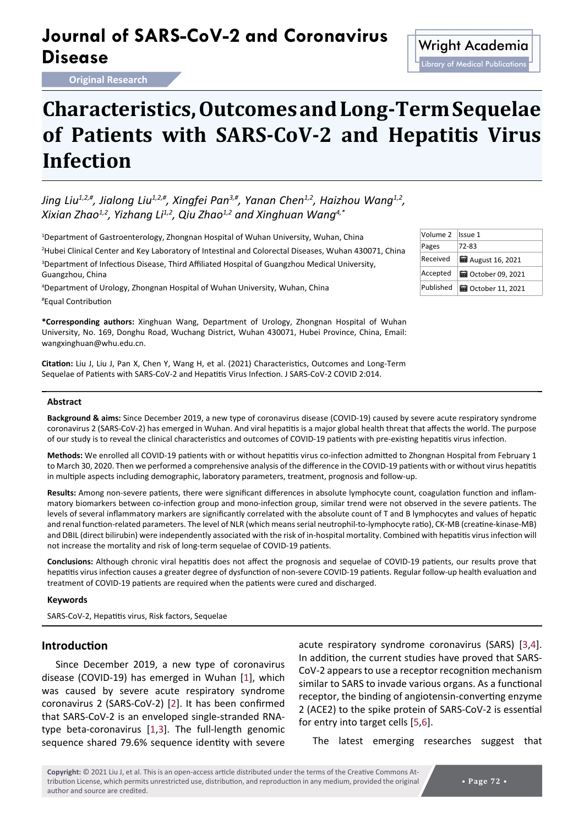## **Journal of SARS-CoV-2 and Coronavirus Disease** Microsoft Contravirus Wright Academia

**Infection**

# Library of Medical Publications

**Characteristics, Outcomes and Long-Term Sequelae of Patients with SARS-CoV-2 and Hepatitis Virus** 

Jing Liu<sup>1,2,#</sup>, Jialong Liu<sup>1,2,#</sup>, Xingfei Pan<sup>3,#</sup>, Yanan Chen<sup>1,2</sup>, Haizhou Wanq<sup>1,2</sup>, *Xixian Zhao1,2, Yizhang Li1,2, Qiu Zhao1,2 and Xinghuan Wang4,\**

 Department of Gastroenterology, Zhongnan Hospital of Wuhan University, Wuhan, China Hubei Clinical Center and Key Laboratory of Intestinal and Colorectal Diseases, Wuhan 430071, China Department of Infectious Disease, Third Affiliated Hospital of Guangzhou Medical University, Guangzhou, China

4 Department of Urology, Zhongnan Hospital of Wuhan University, Wuhan, China # Equal Contribution

**\*Corresponding authors:** Xinghuan Wang, Department of Urology, Zhongnan Hospital of Wuhan University, No. 169, Donghu Road, Wuchang District, Wuhan 430071, Hubei Province, China, Email: wangxinghuan@whu.edu.cn.

**Citation:** Liu J, Liu J, Pan X, Chen Y, Wang H, et al. (2021) Characteristics, Outcomes and Long-Term Sequelae of Patients with SARS-CoV-2 and Hepatitis Virus Infection. J SARS-CoV-2 COVID 2:014.

#### **Abstract**

**Background & aims:** Since December 2019, a new type of coronavirus disease (COVID-19) caused by severe acute respiratory syndrome coronavirus 2 (SARS-CoV-2) has emerged in Wuhan. And viral hepatitis is a major global health threat that affects the world. The purpose of our study is to reveal the clinical characteristics and outcomes of COVID-19 patients with pre-existing hepatitis virus infection.

**Methods:** We enrolled all COVID-19 patients with or without hepatitis virus co-infection admitted to Zhongnan Hospital from February 1 to March 30, 2020. Then we performed a comprehensive analysis of the difference in the COVID-19 patients with or without virus hepatitis in multiple aspects including demographic, laboratory parameters, treatment, prognosis and follow-up.

**Results:** Among non-severe patients, there were significant differences in absolute lymphocyte count, coagulation function and inflammatory biomarkers between co-infection group and mono-infection group, similar trend were not observed in the severe patients. The levels of several inflammatory markers are significantly correlated with the absolute count of T and B lymphocytes and values of hepatic and renal function-related parameters. The level of NLR (which means serial neutrophil-to-lymphocyte ratio), CK-MB (creatine-kinase-MB) and DBIL (direct bilirubin) were independently associated with the risk of in-hospital mortality. Combined with hepatitis virus infection will not increase the mortality and risk of long-term sequelae of COVID-19 patients.

**Conclusions:** Although chronic viral hepatitis does not affect the prognosis and sequelae of COVID-19 patients, our results prove that hepatitis virus infection causes a greater degree of dysfunction of non-severe COVID-19 patients. Regular follow-up health evaluation and treatment of COVID-19 patients are required when the patients were cured and discharged.

#### **Keywords**

SARS-CoV-2, Hepatitis virus, Risk factors, Sequelae

#### **Introduction**

Since December 2019, a new type of coronavirus disease (COVID-19) has emerged in Wuhan [[1](#page-10-4)], which was caused by severe acute respiratory syndrome coronavirus 2 (SARS-CoV-2) [[2](#page-10-5)]. It has been confirmed that SARS-CoV-2 is an enveloped single-stranded RNAtype beta-coronavirus [[1](#page-10-4)[,3](#page-10-0)]. The full-length genomic sequence shared 79.6% sequence identity with severe

acute respiratory syndrome coronavirus (SARS) [[3](#page-10-0),[4](#page-10-1)]. In addition, the current studies have proved that SARS-CoV-2 appears to use a receptor recognition mechanism similar to SARS to invade various organs. As a functional receptor, the binding of angiotensin-converting enzyme 2 (ACE2) to the spike protein of SARS-CoV-2 is essential for entry into target cells [[5](#page-10-2),[6](#page-10-3)].

The latest emerging researches suggest that

| Volume 2  | Issue 1                   |
|-----------|---------------------------|
| Pages     | 72-83                     |
| Received  | <b>■</b> August 16, 2021  |
| Accepted  | <b>■ October 09, 2021</b> |
| Published | <b>H</b> October 11, 2021 |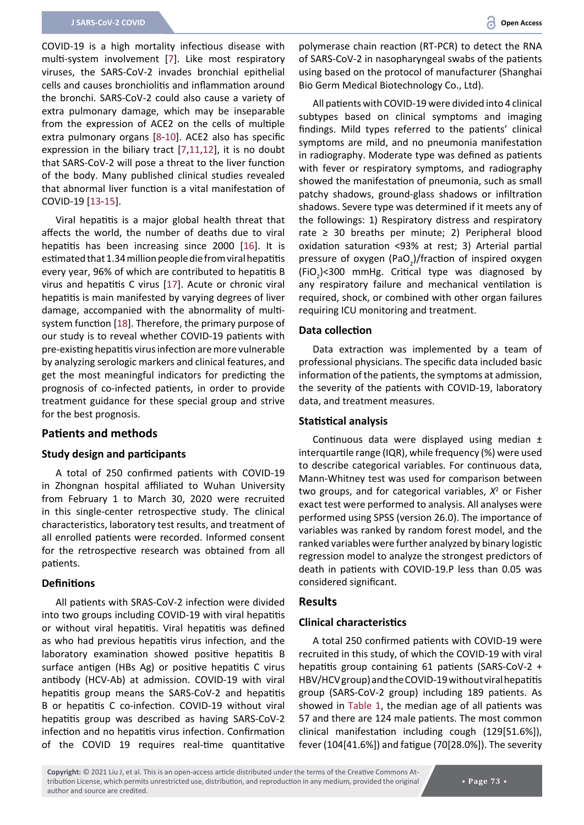COVID-19 is a high mortality infectious disease with multi-system involvement [[7](#page-10-6)]. Like most respiratory viruses, the SARS-CoV-2 invades bronchial epithelial cells and causes bronchiolitis and inflammation around the bronchi. SARS-CoV-2 could also cause a variety of extra pulmonary damage, which may be inseparable from the expression of ACE2 on the cells of multiple extra pulmonary organs [[8-](#page-10-7)[10](#page-10-8)]. ACE2 also has specific expression in the biliary tract [[7](#page-10-6),[11](#page-10-9),[12](#page-10-10)], it is no doubt that SARS-CoV-2 will pose a threat to the liver function of the body. Many published clinical studies revealed that abnormal liver function is a vital manifestation of COVID-19 [[13](#page-10-11)[-15](#page-10-12)].

Viral hepatitis is a major global health threat that affects the world, the number of deaths due to viral hepatitis has been increasing since 2000 [\[16](#page-10-13)]. It is estimated that 1.34 million people die from viral hepatitis every year, 96% of which are contributed to hepatitis B virus and hepatitis C virus [[17](#page-10-14)]. Acute or chronic viral hepatitis is main manifested by varying degrees of liver damage, accompanied with the abnormality of multisystem function [[18](#page-10-15)]. Therefore, the primary purpose of our study is to reveal whether COVID-19 patients with pre-existing hepatitis virus infection are more vulnerable by analyzing serologic markers and clinical features, and get the most meaningful indicators for predicting the prognosis of co-infected patients, in order to provide treatment guidance for these special group and strive for the best prognosis.

#### **Patients and methods**

#### **Study design and participants**

A total of 250 confirmed patients with COVID-19 in Zhongnan hospital affiliated to Wuhan University from February 1 to March 30, 2020 were recruited in this single-center retrospective study. The clinical characteristics, laboratory test results, and treatment of all enrolled patients were recorded. Informed consent for the retrospective research was obtained from all patients.

#### **Definitions**

All patients with SRAS-CoV-2 infection were divided into two groups including COVID-19 with viral hepatitis or without viral hepatitis. Viral hepatitis was defined as who had previous hepatitis virus infection, and the laboratory examination showed positive hepatitis B surface antigen (HBs Ag) or positive hepatitis C virus antibody (HCV-Ab) at admission. COVID-19 with viral hepatitis group means the SARS-CoV-2 and hepatitis B or hepatitis C co-infection. COVID-19 without viral hepatitis group was described as having SARS-CoV-2 infection and no hepatitis virus infection. Confirmation of the COVID 19 requires real-time quantitative

polymerase chain reaction (RT-PCR) to detect the RNA of SARS-CoV-2 in nasopharyngeal swabs of the patients using based on the protocol of manufacturer (Shanghai Bio Germ Medical Biotechnology Co., Ltd).

All patients with COVID-19 were divided into 4 clinical subtypes based on clinical symptoms and imaging findings. Mild types referred to the patients' clinical symptoms are mild, and no pneumonia manifestation in radiography. Moderate type was defined as patients with fever or respiratory symptoms, and radiography showed the manifestation of pneumonia, such as small patchy shadows, ground-glass shadows or infiltration shadows. Severe type was determined if it meets any of the followings: 1) Respiratory distress and respiratory rate  $\geq$  30 breaths per minute; 2) Peripheral blood oxidation saturation ﹤93% at rest; 3) Arterial partial pressure of oxygen (PaO<sub>2</sub>)/fraction of inspired oxygen  $(FiO<sub>2</sub>)$ <300 mmHg. Critical type was diagnosed by any respiratory failure and mechanical ventilation is required, shock, or combined with other organ failures requiring ICU monitoring and treatment.

#### **Data collection**

Data extraction was implemented by a team of professional physicians. The specific data included basic information of the patients, the symptoms at admission, the severity of the patients with COVID-19, laboratory data, and treatment measures.

#### **Statistical analysis**

Continuous data were displayed using median ± interquartile range (IQR), while frequency (%) were used to describe categorical variables. For continuous data, Mann-Whitney test was used for comparison between two groups, and for categorical variables, *X*<sup>2</sup> or Fisher exact test were performed to analysis. All analyses were performed using SPSS (version 26.0). The importance of variables was ranked by random forest model, and the ranked variables were further analyzed by binary logistic regression model to analyze the strongest predictors of death in patients with COVID-19.P less than 0.05 was considered significant.

#### **Results**

#### **Clinical characteristics**

A total 250 confirmed patients with COVID-19 were recruited in this study, of which the COVID-19 with viral hepatitis group containing 61 patients (SARS-CoV-2 + HBV/HCV group) and the COVID-19 without viral hepatitis group (SARS-CoV-2 group) including 189 patients. As showed in [Table 1](#page-2-0), the median age of all patients was 57 and there are 124 male patients. The most common clinical manifestation including cough (129[51.6%]), fever (104[41.6%]) and fatigue (70[28.0%]). The severity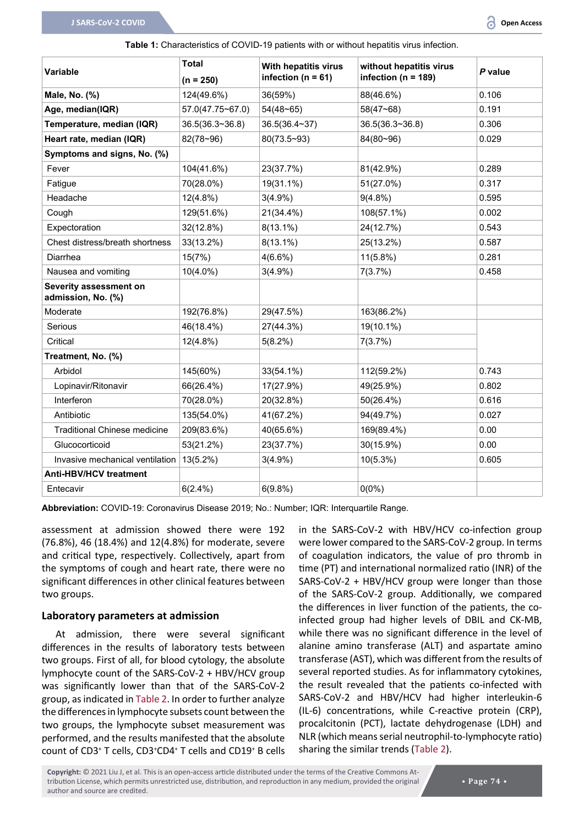<span id="page-2-0"></span>**Table 1:** Characteristics of COVID-19 patients with or without hepatitis virus infection.

|                                              | <b>Total</b>     | With hepatitis virus   | without hepatitis virus |         |
|----------------------------------------------|------------------|------------------------|-------------------------|---------|
| <b>Variable</b>                              | $(n = 250)$      | infection ( $n = 61$ ) | infection ( $n = 189$ ) | P value |
| Male, No. (%)                                | 124(49.6%)       | 36(59%)                | 88(46.6%)               | 0.106   |
| Age, median(IQR)                             | 57.0(47.75~67.0) | $54(48 - 65)$          | $58(47 - 68)$           | 0.191   |
| Temperature, median (IQR)                    | 36.5(36.3~36.8)  | 36.5(36.4~37)          | 36.5(36.3~36.8)         | 0.306   |
| Heart rate, median (IQR)                     | $82(78-96)$      | $80(73.5-93)$          | 84(80~96)               | 0.029   |
| Symptoms and signs, No. (%)                  |                  |                        |                         |         |
| Fever                                        | 104(41.6%)       | 23(37.7%)              | 81(42.9%)               | 0.289   |
| Fatigue                                      | 70(28.0%)        | 19(31.1%)              | 51(27.0%)               | 0.317   |
| Headache                                     | 12(4.8%)         | $3(4.9\%)$             | $9(4.8\%)$              | 0.595   |
| Cough                                        | 129(51.6%)       | 21(34.4%)              | 108(57.1%)              | 0.002   |
| Expectoration                                | 32(12.8%)        | $8(13.1\%)$            | 24(12.7%)               | 0.543   |
| Chest distress/breath shortness              | 33(13.2%)        | $8(13.1\%)$            | 25(13.2%)               | 0.587   |
| Diarrhea                                     | 15(7%)           | $4(6.6\%)$             | $11(5.8\%)$             | 0.281   |
| Nausea and vomiting                          | $10(4.0\%)$      | $3(4.9\%)$             | 7(3.7%)                 | 0.458   |
| Severity assessment on<br>admission, No. (%) |                  |                        |                         |         |
| Moderate                                     | 192(76.8%)       | 29(47.5%)              | 163(86.2%)              |         |
| Serious                                      | 46(18.4%)        | 27(44.3%)              | 19(10.1%)               |         |
| Critical                                     | 12(4.8%)         | $5(8.2\%)$             | 7(3.7%)                 |         |
| Treatment, No. (%)                           |                  |                        |                         |         |
| Arbidol                                      | 145(60%)         | $33(54.1\%)$           | 112(59.2%)              | 0.743   |
| Lopinavir/Ritonavir                          | 66(26.4%)        | 17(27.9%)              | 49(25.9%)               | 0.802   |
| Interferon                                   | 70(28.0%)        | 20(32.8%)              | 50(26.4%)               | 0.616   |
| Antibiotic                                   | 135(54.0%)       | 41(67.2%)              | 94(49.7%)               | 0.027   |
| <b>Traditional Chinese medicine</b>          | 209(83.6%)       | 40(65.6%)              | 169(89.4%)              | 0.00    |
| Glucocorticoid                               | 53(21.2%)        | 23(37.7%)              | 30(15.9%)               | 0.00    |
| Invasive mechanical ventilation              | 13(5.2%)         | $3(4.9\%)$             | 10(5.3%)                | 0.605   |
| <b>Anti-HBV/HCV treatment</b>                |                  |                        |                         |         |
| Entecavir                                    | $6(2.4\%)$       | 6(9.8%)                | $0(0\%)$                |         |

**Abbreviation:** COVID-19: Coronavirus Disease 2019; No.: Number; IQR: Interquartile Range.

assessment at admission showed there were 192 (76.8%), 46 (18.4%) and 12(4.8%) for moderate, severe and critical type, respectively. Collectively, apart from the symptoms of cough and heart rate, there were no significant differences in other clinical features between two groups.

#### **Laboratory parameters at admission**

At admission, there were several significant differences in the results of laboratory tests between two groups. First of all, for blood cytology, the absolute lymphocyte count of the SARS-CoV-2 + HBV/HCV group was significantly lower than that of the SARS-CoV-2 group, as indicated in [Table 2](#page-3-0). In order to further analyze the differences in lymphocyte subsets count between the two groups, the lymphocyte subset measurement was performed, and the results manifested that the absolute count of CD3<sup>+</sup> T cells, CD3<sup>+</sup>CD4<sup>+</sup> T cells and CD19<sup>+</sup> B cells in the SARS-CoV-2 with HBV/HCV co-infection group were lower compared to the SARS-CoV-2 group. In terms of coagulation indicators, the value of pro thromb in time (PT) and international normalized ratio (INR) of the SARS-CoV-2 + HBV/HCV group were longer than those of the SARS-CoV-2 group. Additionally, we compared the differences in liver function of the patients, the coinfected group had higher levels of DBIL and CK-MB, while there was no significant difference in the level of alanine amino transferase (ALT) and aspartate amino transferase (AST), which was different from the results of several reported studies. As for inflammatory cytokines, the result revealed that the patients co-infected with SARS-CoV-2 and HBV/HCV had higher interleukin-6 (IL-6) concentrations, while C-reactive protein (CRP), procalcitonin (PCT), lactate dehydrogenase (LDH) and NLR (which means serial neutrophil-to-lymphocyte ratio) sharing the similar trends ([Table 2\)](#page-3-0).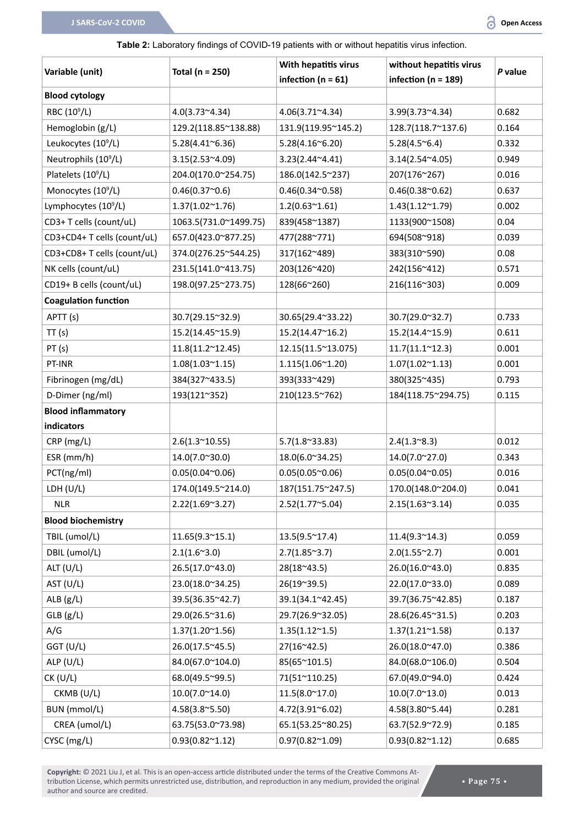#### <span id="page-3-0"></span>**Table 2:** Laboratory findings of COVID-19 patients with or without hepatitis virus infection.

| Variable (unit)                  | Total ( $n = 250$ )        | With hepatitis virus         | without hepatitis virus  | P value |
|----------------------------------|----------------------------|------------------------------|--------------------------|---------|
|                                  |                            | infection ( $n = 61$ )       | infection ( $n = 189$ )  |         |
| <b>Blood cytology</b>            |                            |                              |                          |         |
| RBC (10 <sup>9</sup> /L)         | $4.0(3.73^{\sim}4.34)$     | $4.06(3.71^{\circ}4.34)$     | $3.99(3.73^{\sim}4.34)$  | 0.682   |
| Hemoglobin (g/L)                 | 129.2(118.85~138.88)       | 131.9(119.95~145.2)          | 128.7(118.7~137.6)       | 0.164   |
| Leukocytes (10 <sup>9</sup> /L)  | $5.28(4.41^{\circ}6.36)$   | 5.28(4.16 <sup>°</sup> 6.20) | $5.28(4.5^{\circ}6.4)$   | 0.332   |
| Neutrophils (10 <sup>9</sup> /L) | $3.15(2.53^{\sim}4.09)$    | $3.23(2.44^{\sim}4.41)$      | $3.14(2.54^{\sim}4.05)$  | 0.949   |
| Platelets (10 <sup>9</sup> /L)   | 204.0(170.0~254.75)        | 186.0(142.5~237)             | 207(176~267)             | 0.016   |
| Monocytes (10 <sup>9</sup> /L)   | 0.46(0.37 <sup>0.6</sup> ) | $0.46(0.34^{\sim}0.58)$      | $0.46(0.38^{\circ}0.62)$ | 0.637   |
| Lymphocytes (10 <sup>9</sup> /L) | $1.37(1.02^{\sim}1.76)$    | $1.2(0.63^{\sim}1.61)$       | $1.43(1.12^{\sim}1.79)$  | 0.002   |
| CD3+ T cells (count/uL)          | 1063.5(731.0~1499.75)      | 839(458~1387)                | 1133(900~1508)           | 0.04    |
| CD3+CD4+ T cells (count/uL)      | 657.0(423.0~877.25)        | 477(288~771)                 | 694(508~918)             | 0.039   |
| CD3+CD8+ T cells (count/uL)      | 374.0(276.25~544.25)       | 317(162~489)                 | 383(310~590)             | 0.08    |
| NK cells (count/uL)              | 231.5(141.0~413.75)        | 203(126~420)                 | 242(156~412)             | 0.571   |
| CD19+ B cells (count/uL)         | 198.0(97.25~273.75)        | 128(66~260)                  | 216(116~303)             | 0.009   |
| <b>Coagulation function</b>      |                            |                              |                          |         |
| APTT (s)                         | 30.7(29.15~32.9)           | 30.65(29.4~33.22)            | 30.7(29.0~32.7)          | 0.733   |
| TT(s)                            | 15.2(14.45~15.9)           | 15.2(14.47~16.2)             | 15.2(14.4~15.9)          | 0.611   |
| PT(s)                            | $11.8(11.2^{\sim}12.45)$   | 12.15(11.5~13.075)           | $11.7(11.1^{\sim}12.3)$  | 0.001   |
| PT-INR                           | $1.08(1.03^{\sim}1.15)$    | $1.115(1.06^{\sim}1.20)$     | $1.07(1.02^{\sim}1.13)$  | 0.001   |
| Fibrinogen (mg/dL)               | 384(327~433.5)             | 393(333~429)                 | 380(325~435)             | 0.793   |
| D-Dimer (ng/ml)                  | 193(121~352)               | 210(123.5~762)               | 184(118.75~294.75)       | 0.115   |
| <b>Blood inflammatory</b>        |                            |                              |                          |         |
| indicators                       |                            |                              |                          |         |
| CRP (mg/L)                       | $2.6(1.3^{\sim}10.55)$     | $5.7(1.8^{\circ}33.83)$      | $2.4(1.3^{\circ}8.3)$    | 0.012   |
| ESR (mm/h)                       | 14.0(7.0~30.0)             | 18.0(6.0~34.25)              | 14.0(7.0~27.0)           | 0.343   |
| PCT(ng/ml)                       | $0.05(0.04^{\sim}0.06)$    | $0.05(0.05^{\circ}0.06)$     | $0.05(0.04^{\sim}0.05)$  | 0.016   |
| LDH (U/L)                        | 174.0(149.5~214.0)         | 187(151.75~247.5)            | 170.0(148.0~204.0)       | 0.041   |
| <b>NLR</b>                       | $2.22(1.69^{\circ}3.27)$   | $2.52(1.77^{\sim}5.04)$      | $2.15(1.63^{\circ}3.14)$ | 0.035   |
| <b>Blood biochemistry</b>        |                            |                              |                          |         |
| TBIL (umol/L)                    | $11.65(9.3^{\sim}15.1)$    | $13.5(9.5^{\circ}17.4)$      | $11.4(9.3^{\sim}14.3)$   | 0.059   |
| DBIL (umol/L)                    | $2.1(1.6^{\sim}3.0)$       | $2.7(1.85^{\circ}3.7)$       | $2.0(1.55^{\circ}2.7)$   | 0.001   |
| ALT (U/L)                        | 26.5(17.0~43.0)            | $28(18^{\circ}43.5)$         | 26.0(16.0~43.0)          | 0.835   |
| AST $(U/L)$                      | 23.0(18.0~34.25)           | 26(19~39.5)                  | 22.0(17.0~33.0)          | 0.089   |
| ALB $(g/L)$                      | 39.5(36.35~42.7)           | 39.1(34.1~42.45)             | 39.7(36.75~42.85)        | 0.187   |
| GLB(g/L)                         | 29.0(26.5~31.6)            | 29.7(26.9~32.05)             | 28.6(26.45~31.5)         | 0.203   |
| A/G                              | $1.37(1.20^{\sim}1.56)$    | $1.35(1.12^{\sim}1.5)$       | $1.37(1.21^{\sim}1.58)$  | 0.137   |
| GGT (U/L)                        | 26.0(17.5~45.5)            | $27(16^{\circ}42.5)$         | 26.0(18.0~47.0)          | 0.386   |
| ALP(U/L)                         | 84.0(67.0~104.0)           | 85(65~101.5)                 | 84.0(68.0~106.0)         | 0.504   |
| CK (U/L)                         | 68.0(49.5~99.5)            | 71(51~110.25)                | 67.0(49.0~94.0)          | 0.424   |
| CKMB (U/L)                       | $10.0(7.0^{\circ}14.0)$    | $11.5(8.0^{\circ}17.0)$      | $10.0(7.0^{\circ}13.0)$  | 0.013   |
| BUN (mmol/L)                     |                            |                              |                          |         |
|                                  | $4.58(3.8^{\circ}5.50)$    | $4.72(3.91^{\circ}6.02)$     | 4.58(3.80~5.44)          | 0.281   |
| CREA (umol/L)                    | 63.75(53.0~73.98)          | 65.1(53.25~80.25)            | 63.7(52.9~72.9)          | 0.185   |
| CYSC (mg/L)                      | $0.93(0.82^{\sim}1.12)$    | $0.97(0.82^{\sim}1.09)$      | $0.93(0.82^{\sim}1.12)$  | 0.685   |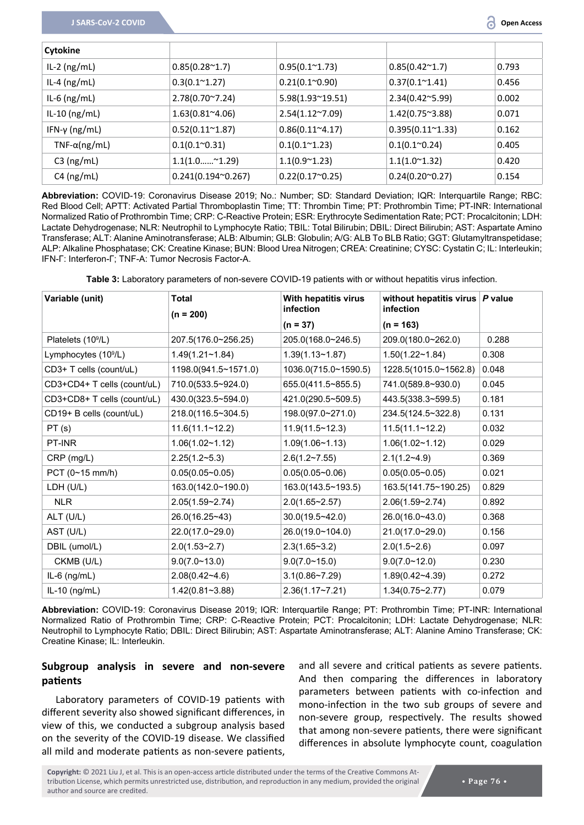| Cytokine              |                             |                          |                          |       |
|-----------------------|-----------------------------|--------------------------|--------------------------|-------|
| $IL-2$ (ng/mL)        | $0.85(0.28^{\sim}1.7)$      | $0.95(0.1^{\sim}1.73)$   | $0.85(0.42^{\sim}1.7)$   | 0.793 |
| IL-4 $(ng/mL)$        | $0.3(0.1^{\circ}1.27)$      | $0.21(0.1^{\circ}0.90)$  | $0.37(0.1^{\sim}1.41)$   | 0.456 |
| IL-6 $(ng/mL)$        | $2.78(0.70^{\circ}7.24)$    | 5.98(1.93~19.51)         | 2.34(0.42~5.99)          | 0.002 |
| $IL-10$ (ng/mL)       | $1.63(0.81^{\circ}4.06)$    | $2.54(1.12^{\sim}7.09)$  | $1.42(0.75^{\circ}3.88)$ | 0.071 |
| IFN-γ (ng/mL)         | $0.52(0.11^{\sim}1.87)$     | $0.86(0.11^{\circ}4.17)$ | $0.395(0.11^{\sim}1.33)$ | 0.162 |
| TNF- $\alpha$ (ng/mL) | $0.1(0.1^{\circ}0.31)$      | $0.1(0.1^{\sim}1.23)$    | $0.1(0.1^{\circ}0.24)$   | 0.405 |
| $C3$ (ng/mL)          | $1.1(1.0$ $1.29)$           | $1.1(0.9^{\circ}1.23)$   | $1.1(1.0^{\circ}1.32)$   | 0.420 |
| $C4$ (ng/mL)          | $0.241(0.194^{\circ}0.267)$ | $0.22(0.17^{\sim}0.25)$  | $0.24(0.20^{\circ}0.27)$ | 0.154 |

**Abbreviation:** COVID-19: Coronavirus Disease 2019; No.: Number; SD: Standard Deviation; IQR: Interquartile Range; RBC: Red Blood Cell; APTT: Activated Partial Thromboplastin Time; TT: Thrombin Time; PT: Prothrombin Time; PT-INR: International Normalized Ratio of Prothrombin Time; CRP: C-Reactive Protein; ESR: Erythrocyte Sedimentation Rate; PCT: Procalcitonin; LDH: Lactate Dehydrogenase; NLR: Neutrophil to Lymphocyte Ratio; TBIL: Total Bilirubin; DBIL: Direct Bilirubin; AST: Aspartate Amino Transferase; ALT: Alanine Aminotransferase; ALB: Albumin; GLB: Globulin; A/G: ALB To BLB Ratio; GGT: Glutamyltranspetidase; ALP: Alkaline Phosphatase; CK: Creatine Kinase; BUN: Blood Urea Nitrogen; CREA: Creatinine; CYSC: Cystatin C; IL: Interleukin; IFN-Γ: Interferon-Γ; TNF-Α: Tumor Necrosis Factor-Α.

<span id="page-4-0"></span>**Table 3:** Laboratory parameters of non-severe COVID-19 patients with or without hepatitis virus infection.

| Variable (unit)                  | With hepatitis virus<br><b>Total</b><br>infection<br>$(n = 200)$ |                         | without hepatitis virus $ P$ value<br>infection |       |  |
|----------------------------------|------------------------------------------------------------------|-------------------------|-------------------------------------------------|-------|--|
|                                  |                                                                  | $(n = 37)$              | $(n = 163)$                                     |       |  |
| Platelets (10 <sup>9</sup> /L)   | 207.5(176.0~256.25)                                              | 205.0(168.0~246.5)      | 209.0(180.0~262.0)                              | 0.288 |  |
| Lymphocytes (10 <sup>9</sup> /L) | 1.49(1.21~1.84)                                                  | $1.39(1.13 - 1.87)$     | $1.50(1.22 - 1.84)$                             | 0.308 |  |
| CD3+ T cells (count/uL)          | 1198.0(941.5~1571.0)                                             | 1036.0(715.0~1590.5)    | 1228.5(1015.0~1562.8)                           | 0.048 |  |
| CD3+CD4+ T cells (count/uL)      | 710.0(533.5~924.0)                                               | 655.0(411.5~855.5)      | 741.0(589.8~930.0)                              | 0.045 |  |
| CD3+CD8+ T cells (count/uL)      | 430.0(323.5~594.0)                                               | 421.0(290.5~509.5)      | 443.5(338.3~599.5)                              | 0.181 |  |
| CD19+ B cells (count/uL)         | 218.0(116.5~304.5)                                               | 198.0(97.0~271.0)       | 234.5(124.5~322.8)                              | 0.131 |  |
| PT(s)                            | 11.6(11.1~12.2)                                                  | 11.9(11.5~12.3)         | 11.5(11.1~12.2)                                 | 0.032 |  |
| PT-INR                           | 1.06(1.02~1.12)                                                  | 1.09(1.06~1.13)         | 1.06(1.02~1.12)                                 | 0.029 |  |
| CRP (mg/L)                       | $2.25(1.2-5.3)$                                                  | 2.6(1.2~7.55)           | $2.1(1.2-4.9)$                                  | 0.369 |  |
| PCT (0~15 mm/h)                  | $0.05(0.05-0.05)$                                                | $0.05(0.05-0.06)$       | $0.05(0.05-0.05)$                               | 0.021 |  |
| LDH (U/L)                        | 163.0(142.0~190.0)                                               | 163.0(143.5~193.5)      | 163.5(141.75~190.25)                            | 0.829 |  |
| <b>NLR</b>                       | 2.05(1.59~2.74)                                                  | $2.0(1.65 \times 2.57)$ | 2.06(1.59~2.74)                                 | 0.892 |  |
| ALT (U/L)                        | 26.0(16.25~43)                                                   | $30.0(19.5-42.0)$       | 26.0(16.0~43.0)                                 | 0.368 |  |
| AST (U/L)                        | 22.0(17.0~29.0)                                                  | 26.0(19.0~104.0)        | 21.0(17.0~29.0)                                 | 0.156 |  |
| DBIL (umol/L)                    | 2.0(1.53~2.7)                                                    | $2.3(1.65 \times 3.2)$  | 2.0(1.5~2.6)                                    | 0.097 |  |
| CKMB (U/L)                       | 9.0(7.0~13.0)                                                    | 9.0(7.0~15.0)           | 9.0(7.0~12.0)                                   | 0.230 |  |
| $IL-6$ (ng/mL)                   | $2.08(0.42 - 4.6)$                                               | $3.1(0.86 - 7.29)$      | $1.89(0.42 - 4.39)$                             | 0.272 |  |
| IL-10 $(ng/mL)$                  | 1.42(0.81~3.88)                                                  | $2.36(1.17 - 7.21)$     | $1.34(0.75 \times 2.77)$                        | 0.079 |  |

**Abbreviation:** COVID-19: Coronavirus Disease 2019; IQR: Interquartile Range; PT: Prothrombin Time; PT-INR: International Normalized Ratio of Prothrombin Time; CRP: C-Reactive Protein; PCT: Procalcitonin; LDH: Lactate Dehydrogenase; NLR: Neutrophil to Lymphocyte Ratio; DBIL: Direct Bilirubin; AST: Aspartate Aminotransferase; ALT: Alanine Amino Transferase; CK: Creatine Kinase; IL: Interleukin.

### **Subgroup analysis in severe and non-severe patients**

Laboratory parameters of COVID-19 patients with different severity also showed significant differences, in view of this, we conducted a subgroup analysis based on the severity of the COVID-19 disease. We classified all mild and moderate patients as non-severe patients,

and all severe and critical patients as severe patients. And then comparing the differences in laboratory parameters between patients with co-infection and mono-infection in the two sub groups of severe and non-severe group, respectively. The results showed that among non-severe patients, there were significant differences in absolute lymphocyte count, coagulation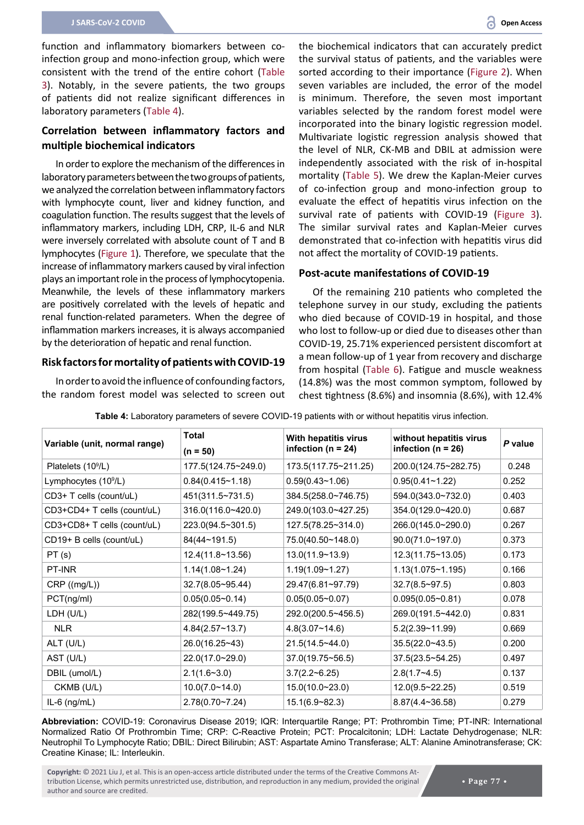function and inflammatory biomarkers between coinfection group and mono-infection group, which were consistent with the trend of the entire cohort [\(Table](#page-4-0)  [3](#page-4-0)). Notably, in the severe patients, the two groups of patients did not realize significant differences in laboratory parameters [\(Table 4\)](#page-5-0).

### **Correlation between inflammatory factors and multiple biochemical indicators**

In order to explore the mechanism of the differences in laboratory parameters between the two groups of patients, we analyzed the correlation between inflammatory factors with lymphocyte count, liver and kidney function, and coagulation function. The results suggest that the levels of inflammatory markers, including LDH, CRP, IL-6 and NLR were inversely correlated with absolute count of T and B lymphocytes [\(Figure 1](#page-6-1)). Therefore, we speculate that the increase of inflammatory markers caused by viral infection plays an important role in the process of lymphocytopenia. Meanwhile, the levels of these inflammatory markers are positively correlated with the levels of hepatic and renal function-related parameters. When the degree of inflammation markers increases, it is always accompanied by the deterioration of hepatic and renal function.

#### **Risk factors for mortality of patients with COVID-19**

In order to avoid the influence of confounding factors, the random forest model was selected to screen out the biochemical indicators that can accurately predict the survival status of patients, and the variables were sorted according to their importance ([Figure 2](#page-7-0)). When seven variables are included, the error of the model is minimum. Therefore, the seven most important variables selected by the random forest model were incorporated into the binary logistic regression model. Multivariate logistic regression analysis showed that the level of NLR, CK-MB and DBIL at admission were independently associated with the risk of in-hospital mortality ([Table 5](#page-6-0)). We drew the Kaplan-Meier curves of co-infection group and mono-infection group to evaluate the effect of hepatitis virus infection on the survival rate of patients with COVID-19 ([Figure 3\)](#page-7-1). The similar survival rates and Kaplan-Meier curves demonstrated that co-infection with hepatitis virus did not affect the mortality of COVID-19 patients.

#### **Post-acute manifestations of COVID-19**

Of the remaining 210 patients who completed the telephone survey in our study, excluding the patients who died because of COVID-19 in hospital, and those who lost to follow-up or died due to diseases other than COVID-19, 25.71% experienced persistent discomfort at a mean follow-up of 1 year from recovery and discharge from hospital [\(Table 6\)](#page-8-0). Fatigue and muscle weakness (14.8%) was the most common symptom, followed by chest tightness (8.6%) and insomnia (8.6%), with 12.4%

| Variable (unit, normal range)  | <b>Total</b><br>With hepatitis virus<br>infection ( $n = 24$ )<br>$(n = 50)$ |                      | without hepatitis virus<br>infection ( $n = 26$ ) | P value |
|--------------------------------|------------------------------------------------------------------------------|----------------------|---------------------------------------------------|---------|
| Platelets (10 <sup>9</sup> /L) | 177.5(124.75~249.0)                                                          | 173.5(117.75~211.25) | 200.0(124.75~282.75)                              | 0.248   |
| Lymphocytes $(109/L)$          | $0.84(0.415 - 1.18)$                                                         | $0.59(0.43 - 1.06)$  | $0.95(0.41 - 1.22)$                               | 0.252   |
| CD3+ T cells (count/uL)        | 451(311.5~731.5)                                                             | 384.5(258.0~746.75)  | 594.0(343.0~732.0)                                | 0.403   |
| CD3+CD4+ T cells (count/uL)    | 316.0(116.0~420.0)                                                           | 249.0(103.0~427.25)  | 354.0(129.0~420.0)                                | 0.687   |
| CD3+CD8+ T cells (count/uL)    | 223.0(94.5~301.5)                                                            | 127.5(78.25~314.0)   | 266.0(145.0~290.0)                                | 0.267   |
| CD19+ B cells (count/uL)       | 84(44~191.5)                                                                 | 75.0(40.50~148.0)    | 90.0(71.0~197.0)                                  | 0.373   |
| PT(s)                          | 12.4(11.8~13.56)                                                             | 13.0(11.9~13.9)      | 12.3(11.75~13.05)                                 | 0.173   |
| PT-INR                         | 1.14(1.08~1.24)                                                              | $1.19(1.09 - 1.27)$  | $1.13(1.075 \times 1.195)$                        | 0.166   |
| CRP((mg/L))                    | 32.7(8.05~95.44)                                                             | 29.47(6.81~97.79)    | $32.7(8.5 \times 97.5)$                           | 0.803   |
| PCT(ng/ml)                     | $0.05(0.05 \sim 0.14)$                                                       | $0.05(0.05 - 0.07)$  | $0.095(0.05 - 0.81)$                              | 0.078   |
| LDH (U/L)                      | 282(199.5~449.75)                                                            | 292.0(200.5~456.5)   | 269.0(191.5~442.0)                                | 0.831   |
| <b>NLR</b>                     | 4.84(2.57~13.7)                                                              | 4.8(3.07~14.6)       | 5.2(2.39~11.99)                                   | 0.669   |
| ALT (U/L)                      | 26.0(16.25~43)                                                               | 21.5(14.5~44.0)      | 35.5(22.0~43.5)                                   | 0.200   |
| AST (U/L)                      | 22.0(17.0~29.0)                                                              | 37.0(19.75~56.5)     | 37.5(23.5~54.25)                                  | 0.497   |
| DBIL (umol/L)                  | 2.1(1.6~3.0)                                                                 | $3.7(2.2-6.25)$      | $2.8(1.7-4.5)$                                    | 0.137   |
| CKMB (U/L)                     | 10.0(7.0~14.0)                                                               | 15.0(10.0~23.0)      | 12.0(9.5~22.25)                                   | 0.519   |
| $IL-6$ (ng/mL)                 | 2.78(0.70~7.24)                                                              | 15.1(6.9~82.3)       | 8.87(4.4~36.58)                                   | 0.279   |

<span id="page-5-0"></span>**Table 4:** Laboratory parameters of severe COVID-19 patients with or without hepatitis virus infection.

**Abbreviation:** COVID-19: Coronavirus Disease 2019; IQR: Interquartile Range; PT: Prothrombin Time; PT-INR: International Normalized Ratio Of Prothrombin Time; CRP: C-Reactive Protein; PCT: Procalcitonin; LDH: Lactate Dehydrogenase; NLR: Neutrophil To Lymphocyte Ratio; DBIL: Direct Bilirubin; AST: Aspartate Amino Transferase; ALT: Alanine Aminotransferase; CK: Creatine Kinase; IL: Interleukin.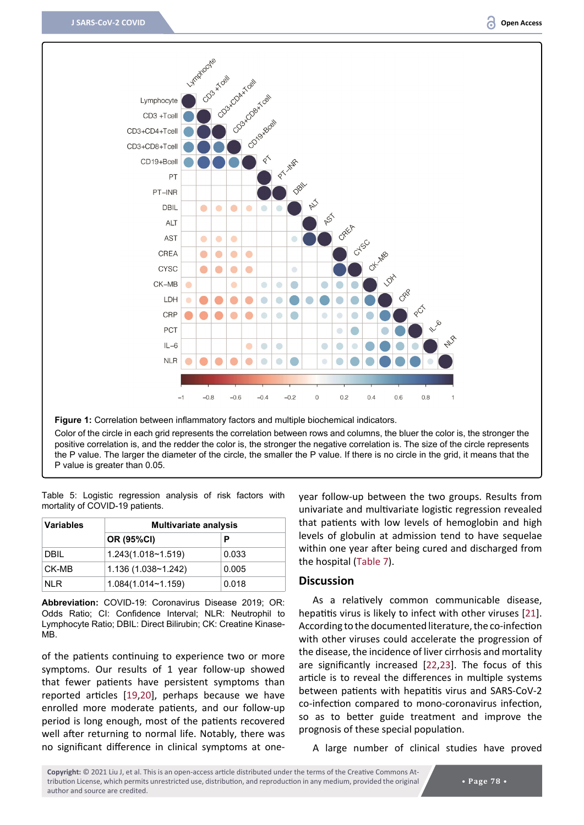<span id="page-6-1"></span>

**Figure 1:** Correlation between inflammatory factors and multiple biochemical indicators.

Color of the circle in each grid represents the correlation between rows and columns, the bluer the color is, the stronger the positive correlation is, and the redder the color is, the stronger the negative correlation is. The size of the circle represents the P value. The larger the diameter of the circle, the smaller the P value. If there is no circle in the grid, it means that the P value is greater than 0.05.

<span id="page-6-0"></span>

|  | Table 5: Logistic regression analysis of risk factors with |  |  |  |
|--|------------------------------------------------------------|--|--|--|
|  | mortality of COVID-19 patients.                            |  |  |  |

| <b>Variables</b> | <b>Multivariate analysis</b> |       |  |  |
|------------------|------------------------------|-------|--|--|
|                  | <b>OR (95%CI)</b>            | Р     |  |  |
| <b>DBIL</b>      | 1.243(1.018~1.519)           | 0.033 |  |  |
| CK-MB            | 1.136(1.038~1.242)           | 0.005 |  |  |
| NI R             | 1.084(1.014~1.159)           | 0.018 |  |  |

**Abbreviation:** COVID-19: Coronavirus Disease 2019; OR: Odds Ratio; CI: Confidence Interval; NLR: Neutrophil to Lymphocyte Ratio; DBIL: Direct Bilirubin; CK: Creatine Kinase-MB.

of the patients continuing to experience two or more symptoms. Our results of 1 year follow-up showed that fewer patients have persistent symptoms than reported articles [\[19](#page-11-3),[20](#page-11-4)], perhaps because we have enrolled more moderate patients, and our follow-up period is long enough, most of the patients recovered well after returning to normal life. Notably, there was no significant difference in clinical symptoms at oneyear follow-up between the two groups. Results from univariate and multivariate logistic regression revealed that patients with low levels of hemoglobin and high levels of globulin at admission tend to have sequelae within one year after being cured and discharged from the hospital ([Table 7](#page-8-1)).

#### **Discussion**

As a relatively common communicable disease, hepatitis virus is likely to infect with other viruses [[21\]](#page-11-0). According to the documented literature, the co-infection with other viruses could accelerate the progression of the disease, the incidence of liver cirrhosis and mortality are significantly increased [[22](#page-11-1)[,23](#page-11-2)]. The focus of this article is to reveal the differences in multiple systems between patients with hepatitis virus and SARS-CoV-2 co-infection compared to mono-coronavirus infection, so as to better guide treatment and improve the prognosis of these special population.

A large number of clinical studies have proved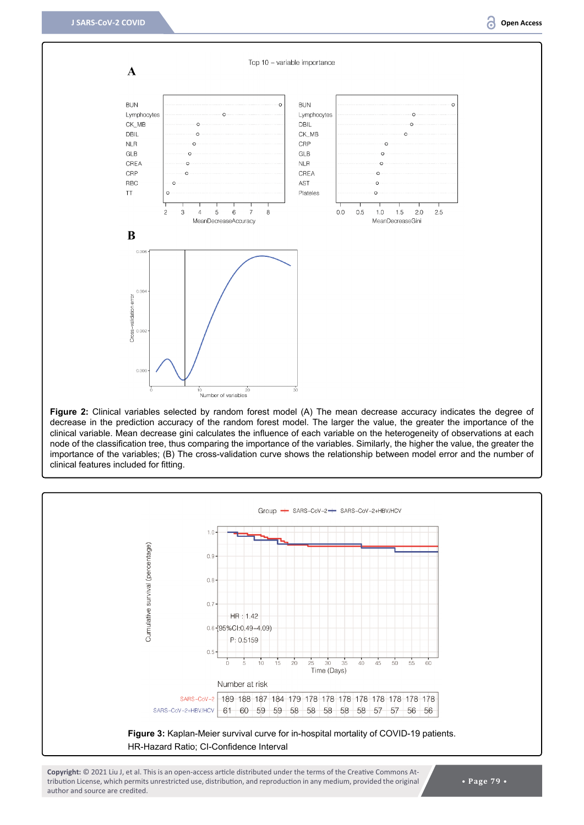<span id="page-7-0"></span>

**Figure 2:** Clinical variables selected by random forest model (A) The mean decrease accuracy indicates the degree of decrease in the prediction accuracy of the random forest model. The larger the value, the greater the importance of the clinical variable. Mean decrease gini calculates the influence of each variable on the heterogeneity of observations at each node of the classification tree, thus comparing the importance of the variables. Similarly, the higher the value, the greater the importance of the variables; (B) The cross-validation curve shows the relationship between model error and the number of clinical features included for fitting.

<span id="page-7-1"></span>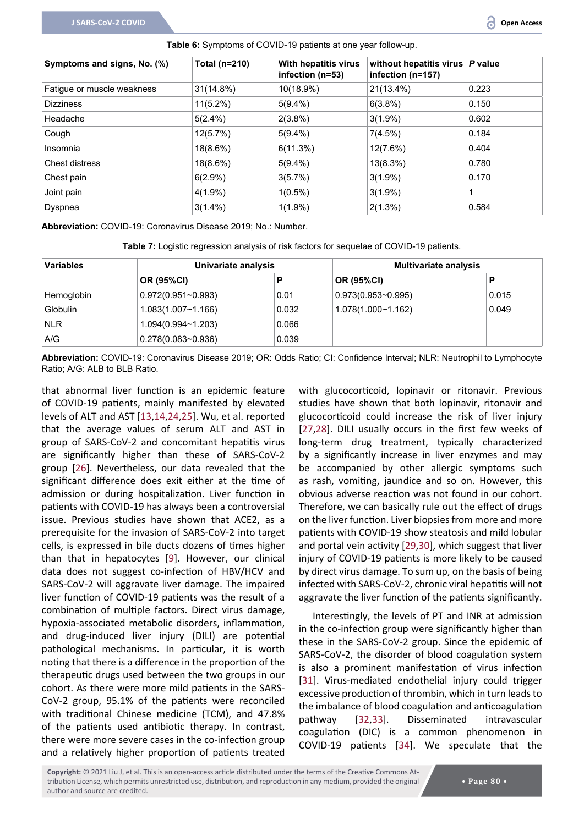| Symptoms and signs, No. (%) | Total (n=210) | With hepatitis virus<br>infection (n=53) | without hepatitis virus $ P$ value<br>infection (n=157) |       |
|-----------------------------|---------------|------------------------------------------|---------------------------------------------------------|-------|
| Fatique or muscle weakness  | 31(14.8%)     | 10(18.9%)                                | $21(13.4\%)$                                            | 0.223 |
| <b>Dizziness</b>            | $11(5.2\%)$   | $5(9.4\%)$                               | 6(3.8%)                                                 | 0.150 |
| Headache                    | $5(2.4\%)$    | $2(3.8\%)$                               | $3(1.9\%)$                                              | 0.602 |
| Cough                       | 12(5.7%)      | $5(9.4\%)$                               | 7(4.5%)                                                 | 0.184 |
| Insomnia                    | $18(8.6\%)$   | 6(11.3%)                                 | 12(7.6%)                                                | 0.404 |
| Chest distress              | 18(8.6%)      | $5(9.4\%)$                               | 13(8.3%)                                                | 0.780 |
| Chest pain                  | 6(2.9%)       | 3(5.7%)                                  | $3(1.9\%)$                                              | 0.170 |
| Joint pain                  | $4(1.9\%)$    | $1(0.5\%)$                               | $3(1.9\%)$                                              |       |
| Dyspnea                     | $3(1.4\%)$    | $1(1.9\%)$                               | 2(1.3%)                                                 | 0.584 |

<span id="page-8-0"></span>**Table 6:** Symptoms of COVID-19 patients at one year follow-up.

**Abbreviation:** COVID-19: Coronavirus Disease 2019; No.: Number.

<span id="page-8-1"></span>**Table 7:** Logistic regression analysis of risk factors for sequelae of COVID-19 patients.

| <b>Variables</b> |                               | Univariate analysis |                           | <b>Multivariate analysis</b> |  |
|------------------|-------------------------------|---------------------|---------------------------|------------------------------|--|
|                  | <b>OR (95%CI)</b>             | P                   | <b>OR (95%CI)</b>         | D                            |  |
| Hemoglobin       | $0.972(0.951\text{-}0.993)$   | 0.01                | $0.973(0.953 \sim 0.995)$ | 0.015                        |  |
| <b>Globulin</b>  | 1.083(1.007~1.166)            | 0.032               | 1.078(1.000~1.162)        | 0.049                        |  |
| <b>NLR</b>       | $1.094(0.994 \text{~} 1.203)$ | 0.066               |                           |                              |  |
| A/G              | $0.278(0.083 - 0.936)$        | 0.039               |                           |                              |  |

**Abbreviation:** COVID-19: Coronavirus Disease 2019; OR: Odds Ratio; CI: Confidence Interval; NLR: Neutrophil to Lymphocyte Ratio; A/G: ALB to BLB Ratio.

that abnormal liver function is an epidemic feature of COVID-19 patients, mainly manifested by elevated levels of ALT and AST [[13,](#page-10-11)[14](#page-10-16),[24](#page-11-13)[,25](#page-11-14)]. Wu, et al. reported that the average values of serum ALT and AST in group of SARS-CoV-2 and concomitant hepatitis virus are significantly higher than these of SARS-CoV-2 group [[26](#page-11-15)]. Nevertheless, our data revealed that the significant difference does exit either at the time of admission or during hospitalization. Liver function in patients with COVID-19 has always been a controversial issue. Previous studies have shown that ACE2, as a prerequisite for the invasion of SARS-CoV-2 into target cells, is expressed in bile ducts dozens of times higher than that in hepatocytes [[9\]](#page-10-17). However, our clinical data does not suggest co-infection of HBV/HCV and SARS-CoV-2 will aggravate liver damage. The impaired liver function of COVID-19 patients was the result of a combination of multiple factors. Direct virus damage, hypoxia-associated metabolic disorders, inflammation, and drug-induced liver injury (DILI) are potential pathological mechanisms. In particular, it is worth noting that there is a difference in the proportion of the therapeutic drugs used between the two groups in our cohort. As there were more mild patients in the SARS-CoV-2 group, 95.1% of the patients were reconciled with traditional Chinese medicine (TCM), and 47.8% of the patients used antibiotic therapy. In contrast, there were more severe cases in the co-infection group and a relatively higher proportion of patients treated

with glucocorticoid, lopinavir or ritonavir. Previous studies have shown that both lopinavir, ritonavir and glucocorticoid could increase the risk of liver injury [[27](#page-11-5)[,28](#page-11-6)]. DILI usually occurs in the first few weeks of long-term drug treatment, typically characterized by a significantly increase in liver enzymes and may be accompanied by other allergic symptoms such as rash, vomiting, jaundice and so on. However, this obvious adverse reaction was not found in our cohort. Therefore, we can basically rule out the effect of drugs on the liver function. Liver biopsies from more and more patients with COVID-19 show steatosis and mild lobular and portal vein activity [\[29](#page-11-7),[30](#page-11-8)], which suggest that liver injury of COVID-19 patients is more likely to be caused by direct virus damage. To sum up, on the basis of being infected with SARS-CoV-2, chronic viral hepatitis will not aggravate the liver function of the patients significantly.

Interestingly, the levels of PT and INR at admission in the co-infection group were significantly higher than these in the SARS-CoV-2 group. Since the epidemic of SARS-CoV-2, the disorder of blood coagulation system is also a prominent manifestation of virus infection [[31](#page-11-9)]. Virus-mediated endothelial injury could trigger excessive production of thrombin, which in turn leads to the imbalance of blood coagulation and anticoagulation pathway [[32](#page-11-10)[,33](#page-11-11)]. Disseminated intravascular coagulation (DIC) is a common phenomenon in COVID-19 patients [[34\]](#page-11-12). We speculate that the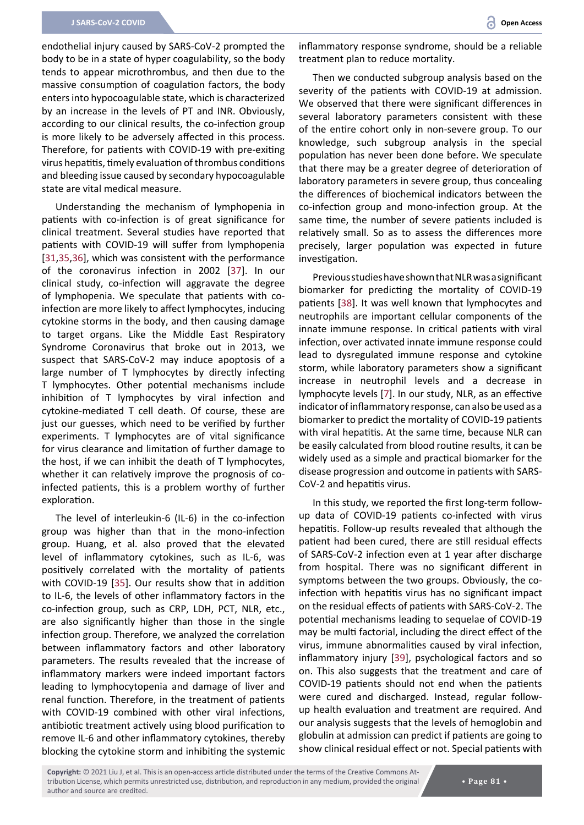endothelial injury caused by SARS-CoV-2 prompted the body to be in a state of hyper coagulability, so the body tends to appear microthrombus, and then due to the massive consumption of coagulation factors, the body enters into hypocoagulable state, which is characterized by an increase in the levels of PT and INR. Obviously, according to our clinical results, the co-infection group is more likely to be adversely affected in this process. Therefore, for patients with COVID-19 with pre-exiting virus hepatitis, timely evaluation of thrombus conditions and bleeding issue caused by secondary hypocoagulable state are vital medical measure.

Understanding the mechanism of lymphopenia in patients with co-infection is of great significance for clinical treatment. Several studies have reported that patients with COVID-19 will suffer from lymphopenia [[31](#page-11-9),[35,](#page-11-18)[36\]](#page-11-19), which was consistent with the performance of the coronavirus infection in 2002 [[37](#page-11-20)]. In our clinical study, co-infection will aggravate the degree of lymphopenia. We speculate that patients with coinfection are more likely to affect lymphocytes, inducing cytokine storms in the body, and then causing damage to target organs. Like the Middle East Respiratory Syndrome Coronavirus that broke out in 2013, we suspect that SARS-CoV-2 may induce apoptosis of a large number of T lymphocytes by directly infecting T lymphocytes. Other potential mechanisms include inhibition of T lymphocytes by viral infection and cytokine-mediated T cell death. Of course, these are just our guesses, which need to be verified by further experiments. T lymphocytes are of vital significance for virus clearance and limitation of further damage to the host, if we can inhibit the death of T lymphocytes, whether it can relatively improve the prognosis of coinfected patients, this is a problem worthy of further exploration.

The level of interleukin-6 (IL-6) in the co-infection group was higher than that in the mono-infection group. Huang, et al. also proved that the elevated level of inflammatory cytokines, such as IL-6, was positively correlated with the mortality of patients with COVID-19 [[35](#page-11-18)]. Our results show that in addition to IL-6, the levels of other inflammatory factors in the co-infection group, such as CRP, LDH, PCT, NLR, etc., are also significantly higher than those in the single infection group. Therefore, we analyzed the correlation between inflammatory factors and other laboratory parameters. The results revealed that the increase of inflammatory markers were indeed important factors leading to lymphocytopenia and damage of liver and renal function. Therefore, in the treatment of patients with COVID-19 combined with other viral infections, antibiotic treatment actively using blood purification to remove IL-6 and other inflammatory cytokines, thereby blocking the cytokine storm and inhibiting the systemic

inflammatory response syndrome, should be a reliable treatment plan to reduce mortality.

Then we conducted subgroup analysis based on the severity of the patients with COVID-19 at admission. We observed that there were significant differences in several laboratory parameters consistent with these of the entire cohort only in non-severe group. To our knowledge, such subgroup analysis in the special population has never been done before. We speculate that there may be a greater degree of deterioration of laboratory parameters in severe group, thus concealing the differences of biochemical indicators between the co-infection group and mono-infection group. At the same time, the number of severe patients included is relatively small. So as to assess the differences more precisely, larger population was expected in future investigation.

Previous studies have shown that NLR was a significant biomarker for predicting the mortality of COVID-19 patients [[38](#page-11-16)]. It was well known that lymphocytes and neutrophils are important cellular components of the innate immune response. In critical patients with viral infection, over activated innate immune response could lead to dysregulated immune response and cytokine storm, while laboratory parameters show a significant increase in neutrophil levels and a decrease in lymphocyte levels [[7](#page-10-6)]. In our study, NLR, as an effective indicator of inflammatory response, can also be used as a biomarker to predict the mortality of COVID-19 patients with viral hepatitis. At the same time, because NLR can be easily calculated from blood routine results, it can be widely used as a simple and practical biomarker for the disease progression and outcome in patients with SARS-CoV-2 and hepatitis virus.

In this study, we reported the first long-term followup data of COVID-19 patients co-infected with virus hepatitis. Follow-up results revealed that although the patient had been cured, there are still residual effects of SARS-CoV-2 infection even at 1 year after discharge from hospital. There was no significant different in symptoms between the two groups. Obviously, the coinfection with hepatitis virus has no significant impact on the residual effects of patients with SARS-CoV-2. The potential mechanisms leading to sequelae of COVID-19 may be multi factorial, including the direct effect of the virus, immune abnormalities caused by viral infection, inflammatory injury [\[39](#page-11-17)], psychological factors and so on. This also suggests that the treatment and care of COVID-19 patients should not end when the patients were cured and discharged. Instead, regular followup health evaluation and treatment are required. And our analysis suggests that the levels of hemoglobin and globulin at admission can predict if patients are going to show clinical residual effect or not. Special patients with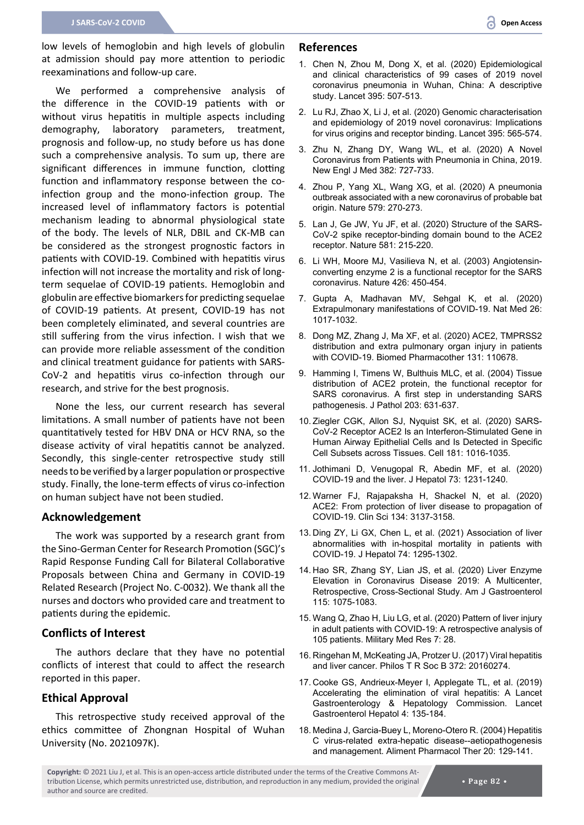low levels of hemoglobin and high levels of globulin at admission should pay more attention to periodic reexaminations and follow-up care.

We performed a comprehensive analysis of the difference in the COVID-19 patients with or without virus hepatitis in multiple aspects including demography, laboratory parameters, treatment, prognosis and follow-up, no study before us has done such a comprehensive analysis. To sum up, there are significant differences in immune function, clotting function and inflammatory response between the coinfection group and the mono-infection group. The increased level of inflammatory factors is potential mechanism leading to abnormal physiological state of the body. The levels of NLR, DBIL and CK-MB can be considered as the strongest prognostic factors in patients with COVID-19. Combined with hepatitis virus infection will not increase the mortality and risk of longterm sequelae of COVID-19 patients. Hemoglobin and globulin are effective biomarkers for predicting sequelae of COVID-19 patients. At present, COVID-19 has not been completely eliminated, and several countries are still suffering from the virus infection. I wish that we can provide more reliable assessment of the condition and clinical treatment guidance for patients with SARS-CoV-2 and hepatitis virus co-infection through our research, and strive for the best prognosis.

None the less, our current research has several limitations. A small number of patients have not been quantitatively tested for HBV DNA or HCV RNA, so the disease activity of viral hepatitis cannot be analyzed. Secondly, this single-center retrospective study still needs to be verified by a larger population or prospective study. Finally, the lone-term effects of virus co-infection on human subject have not been studied.

#### **Acknowledgement**

The work was supported by a research grant from the Sino-German Center for Research Promotion (SGC)'s Rapid Response Funding Call for Bilateral Collaborative Proposals between China and Germany in COVID-19 Related Research (Project No. C-0032). We thank all the nurses and doctors who provided care and treatment to patients during the epidemic.

#### **Conflicts of Interest**

The authors declare that they have no potential conflicts of interest that could to affect the research reported in this paper.

#### **Ethical Approval**

This retrospective study received approval of the ethics committee of Zhongnan Hospital of Wuhan University (No. 2021097K).

#### **References**

- <span id="page-10-4"></span>1. [Chen N, Zhou M, Dong X, et al. \(2020\) Epidemiological](https://pubmed.ncbi.nlm.nih.gov/32007143/)  [and clinical characteristics of 99 cases of 2019 novel](https://pubmed.ncbi.nlm.nih.gov/32007143/)  [coronavirus pneumonia in Wuhan, China: A descriptive](https://pubmed.ncbi.nlm.nih.gov/32007143/)  [study. Lancet 395: 507-513.](https://pubmed.ncbi.nlm.nih.gov/32007143/)
- <span id="page-10-5"></span>2. [Lu RJ, Zhao X, Li J, et al. \(2020\) Genomic characterisation](https://www.unboundmedicine.com/medline/citation/32007145/Genomic_characterisation_and_epidemiology_of_2019_novel_coronavirus:_implications_for_virus_origins_and_receptor_binding_)  [and epidemiology of 2019 novel coronavirus: Implications](https://www.unboundmedicine.com/medline/citation/32007145/Genomic_characterisation_and_epidemiology_of_2019_novel_coronavirus:_implications_for_virus_origins_and_receptor_binding_)  [for virus origins and receptor binding. Lancet 395: 565-574.](https://www.unboundmedicine.com/medline/citation/32007145/Genomic_characterisation_and_epidemiology_of_2019_novel_coronavirus:_implications_for_virus_origins_and_receptor_binding_)
- <span id="page-10-0"></span>3. [Zhu N, Zhang DY, Wang WL, et al. \(2020\) A Novel](https://pubmed.ncbi.nlm.nih.gov/31978945/)  [Coronavirus from Patients with Pneumonia in China, 2019.](https://pubmed.ncbi.nlm.nih.gov/31978945/)  [New Engl J Med 382: 727-733.](https://pubmed.ncbi.nlm.nih.gov/31978945/)
- <span id="page-10-1"></span>4. [Zhou P, Yang XL, Wang XG, et al. \(2020\) A pneumonia](https://pubmed.ncbi.nlm.nih.gov/32015507/)  [outbreak associated with a new coronavirus of probable bat](https://pubmed.ncbi.nlm.nih.gov/32015507/)  [origin. Nature 579: 270-273.](https://pubmed.ncbi.nlm.nih.gov/32015507/)
- <span id="page-10-2"></span>5. [Lan J, Ge JW, Yu JF, et al. \(2020\) Structure of the SARS-](https://pubmed.ncbi.nlm.nih.gov/32225176/)[CoV-2 spike receptor-binding domain bound to the ACE2](https://pubmed.ncbi.nlm.nih.gov/32225176/)  [receptor. Nature 581: 215-220.](https://pubmed.ncbi.nlm.nih.gov/32225176/)
- <span id="page-10-3"></span>6. [Li WH, Moore MJ, Vasilieva N, et al. \(2003\) Angiotensin](https://www.nature.com/articles/nature02145)[converting enzyme 2 is a functional receptor for the SARS](https://www.nature.com/articles/nature02145)  [coronavirus. Nature 426: 450-454.](https://www.nature.com/articles/nature02145)
- <span id="page-10-6"></span>7. [Gupta A, Madhavan MV, Sehgal K, et al. \(2020\)](https://pubmed.ncbi.nlm.nih.gov/32651579/)  [Extrapulmonary manifestations of COVID-19. Nat Med 26:](https://pubmed.ncbi.nlm.nih.gov/32651579/)  [1017-1032.](https://pubmed.ncbi.nlm.nih.gov/32651579/)
- <span id="page-10-7"></span>8. [Dong MZ, Zhang J, Ma XF, et al. \(2020\) ACE2, TMPRSS2](https://pubmed.ncbi.nlm.nih.gov/32861070/)  [distribution and extra pulmonary organ injury in patients](https://pubmed.ncbi.nlm.nih.gov/32861070/)  [with COVID-19. Biomed Pharmacother 131: 110678.](https://pubmed.ncbi.nlm.nih.gov/32861070/)
- <span id="page-10-17"></span>9. [Hamming I, Timens W, Bulthuis MLC, et al. \(2004\) Tissue](https://pubmed.ncbi.nlm.nih.gov/15141377/)  [distribution of ACE2 protein, the functional receptor for](https://pubmed.ncbi.nlm.nih.gov/15141377/)  [SARS coronavirus. A first step in understanding SARS](https://pubmed.ncbi.nlm.nih.gov/15141377/)  [pathogenesis. J Pathol 203: 631-637.](https://pubmed.ncbi.nlm.nih.gov/15141377/)
- <span id="page-10-8"></span>10. [Ziegler CGK, Allon SJ, Nyquist SK, et al. \(2020\) SARS-](https://pubmed.ncbi.nlm.nih.gov/32413319/)[CoV-2 Receptor ACE2 Is an Interferon-Stimulated Gene in](https://pubmed.ncbi.nlm.nih.gov/32413319/)  [Human Airway Epithelial Cells and Is Detected in Specific](https://pubmed.ncbi.nlm.nih.gov/32413319/)  [Cell Subsets across Tissues. Cell 181: 1016-1035.](https://pubmed.ncbi.nlm.nih.gov/32413319/)
- <span id="page-10-9"></span>11. [Jothimani D, Venugopal R, Abedin MF, et al. \(2020\)](https://pubmed.ncbi.nlm.nih.gov/32553666/)  [COVID-19 and the liver. J Hepatol 73: 1231-1240.](https://pubmed.ncbi.nlm.nih.gov/32553666/)
- <span id="page-10-10"></span>12. [Warner FJ, Rajapaksha H, Shackel N, et al. \(2020\)](https://pubmed.ncbi.nlm.nih.gov/33284956/)  [ACE2: From protection of liver disease to propagation of](https://pubmed.ncbi.nlm.nih.gov/33284956/)  [COVID-19. Clin Sci 134: 3137-3158.](https://pubmed.ncbi.nlm.nih.gov/33284956/)
- <span id="page-10-11"></span>13. [Ding ZY, Li GX, Chen L, et al. \(2021\) Association of liver](https://pubmed.ncbi.nlm.nih.gov/33347952/)  [abnormalities with in-hospital mortality in patients with](https://pubmed.ncbi.nlm.nih.gov/33347952/)  [COVID-19. J Hepatol 74: 1295-1302.](https://pubmed.ncbi.nlm.nih.gov/33347952/)
- <span id="page-10-16"></span>14. [Hao SR, Zhang SY, Lian JS, et al. \(2020\) Liver Enzyme](https://pubmed.ncbi.nlm.nih.gov/32618658/)  [Elevation in Coronavirus Disease 2019: A Multicenter,](https://pubmed.ncbi.nlm.nih.gov/32618658/)  [Retrospective, Cross-Sectional Study. Am J Gastroenterol](https://pubmed.ncbi.nlm.nih.gov/32618658/)  [115: 1075-1083.](https://pubmed.ncbi.nlm.nih.gov/32618658/)
- <span id="page-10-12"></span>15. [Wang Q, Zhao H, Liu LG, et al. \(2020\) Pattern of liver injury](https://pubmed.ncbi.nlm.nih.gov/32507110/)  [in adult patients with COVID-19: A retrospective analysis of](https://pubmed.ncbi.nlm.nih.gov/32507110/)  [105 patients. Military Med Res 7: 28.](https://pubmed.ncbi.nlm.nih.gov/32507110/)
- <span id="page-10-13"></span>16. [Ringehan M, McKeating JA, Protzer U. \(2017\) Viral hepatitis](https://pubmed.ncbi.nlm.nih.gov/28893941/)  [and liver cancer. Philos T R Soc B 372: 20160274.](https://pubmed.ncbi.nlm.nih.gov/28893941/)
- <span id="page-10-14"></span>17. [Cooke GS, Andrieux-Meyer I, Applegate TL, et al. \(2019\)](https://www.thelancet.com/journals/langas/article/PIIS2468-1253(18)30270-X/fulltext)  [Accelerating the elimination of viral hepatitis: A Lancet](https://www.thelancet.com/journals/langas/article/PIIS2468-1253(18)30270-X/fulltext)  [Gastroenterology & Hepatology Commission. Lancet](https://www.thelancet.com/journals/langas/article/PIIS2468-1253(18)30270-X/fulltext)  [Gastroenterol Hepatol 4: 135-184.](https://www.thelancet.com/journals/langas/article/PIIS2468-1253(18)30270-X/fulltext)
- <span id="page-10-15"></span>18. [Medina J, Garcia-Buey L, Moreno-Otero R. \(2004\) Hepatitis](https://pubmed.ncbi.nlm.nih.gov/15233692/)  [C virus-related extra-hepatic disease--aetiopathogenesis](https://pubmed.ncbi.nlm.nih.gov/15233692/)  [and management. Aliment Pharmacol Ther 20: 129-141.](https://pubmed.ncbi.nlm.nih.gov/15233692/)